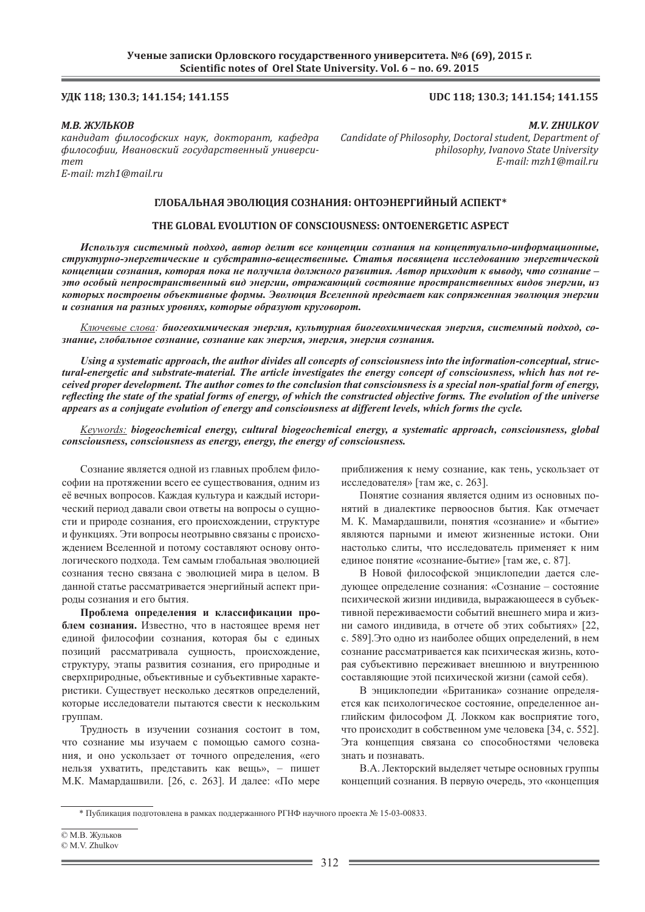# **ʢʓʙ 118; 130.3; 141.154; 141.155 UDC 118; 130.3; 141.154; 141.155**

#### *М.В. ЖУЛЬКОВ*

 $\kappa$ андидат философских наук, докторант, кафедра  $\phi$ илософии, Ивановский государственный универси $m$ *em E-mail: mzh1@mail.ru*

*M.V. ZHULKOV Candidate of Philosophy, Doctoral student, Department of philosophy, Ivanovo State University E-mail: mzh1@mail.ru*

# ГЛОБАЛЬНАЯ ЭВОЛЮЦИЯ СОЗНАНИЯ: ОНТОЭНЕРГИЙНЫЙ АСПЕКТ\*

# **THE GLOBAL EVOLUTION OF CONSCIOUSNESS: ONTOENERGETIC ASPECT**

Используя системный подход, автор делит все концепции сознания на концептуально-информационные,  $\alpha$ труктурно-энергетические и субстратно-вешественные. Статья посвяшена исследованию энергетической концепции сознания, которая пока не получила должного развития. Автор приходит к выводу, что сознание **уто особый непространственный вид энергии, отражающий состояние пространственных видов энергии, из** которых построены объективные формы. Эволюция Вселенной предстает как сопряженная эволюция энергии  $u$  сознания на разных уровнях, которые образуют круговорот.

Ключевые слова: биогеохимическая энергия, культурная биогеохимическая энергия, системный подход, со*ɡɧɚɧɢɟ, ɝɥɨɛɚɥɶɧɨɟ ɫɨɡɧɚɧɢɟ, ɫɨɡɧɚɧɢɟ ɤɚɤ ɷɧɟɪɝɢɹ, ɷɧɟɪɝɢɹ, ɷɧɟɪɝɢɹ ɫɨɡɧɚɧɢɹ.*

*Using a systematic approach, the author divides all concepts of consciousness into the information-conceptual, structural-energetic and substrate-material. The article investigates the energy concept of consciousness, which has not received proper development. The author comes to the conclusion that consciousness is a special non-spatial form of energy, refl ecting the state of the spatial forms of energy, of which the constructed objective forms. The evolution of the universe appears as a conjugate evolution of energy and consciousness at different levels, which forms the cycle.*

*Keywords: biogeochemical energy, cultural biogeochemical energy, a systematic approach, consciousness, global consciousness, consciousness as energy, energy, the energy of consciousness.*

Сознание является одной из главных проблем философии на протяжении всего ее существования, одним из её вечных вопросов. Каждая культура и каждый исторический период давали свои ответы на вопросы о сушности и природе сознания, его происхождении, структуре и функциях. Эти вопросы неотрывно связаны с происхождением Вселенной и потому составляют основу онтологического подхода. Тем самым глобальная эволюцией сознания тесно связана с эволюцией мира в целом. В данной статье рассматривается энергийный аспект природы сознания и его бытия.

Проблема определения и классификации проблем сознания. Известно, что в настоящее время нет елиной философии сознания, которая бы с елиных позиций рассматривала сущность, происхождение, структуру, этапы развития сознания, его природные и сверхприродные, объективные и субъективные характеристики. Существует несколько десятков определений, которые исследователи пытаются свести к нескольким группам.

Трудность в изучении сознания состоит в том, что сознание мы изучаем с помошью самого сознания, и оно ускользает от точного определения, «его нельзя ухватить, представить как вещь», – пишет М.К. Мамардашвили. [26, с. 263]. И далее: «По мере

приближения к нему сознание, как тень, ускользает от исследователя» [там же, с. 263].

Понятие сознания является одним из основных понятий в диалектике первооснов бытия. Как отмечает М. К. Мамардашвили, понятия «сознание» и «бытие» являются парными и имеют жизненные истоки. Они настолько слиты, что исследователь применяет к ним единое понятие «сознание-бытие» [там же, с. 87].

В Новой философской энциклопедии дается следующее определение сознания: «Сознание – состояние психической жизни инливила, выражающееся в субъективной переживаемости событий внешнего мира и жизни самого индивида, в отчете об этих событиях» [22, с. 5891. Это одно из наиболее обших определений, в нем сознание рассматривается как психическая жизнь, которая субъективно переживает внешнюю и внутреннюю составляющие этой психической жизни (самой себя).

В энциклопедии «Британика» сознание определяется как психологическое состояние, определенное английским философом Д. Локком как восприятие того, что происходит в собственном уме человека [34, с. 552]. Эта концепция связана со способностями человека знать и познавать

В.А. Лекторский выделяет четыре основных группы концепций сознания. В первую очерель, это «концепция

 $*$  Публикация подготовлена в рамках поддержанного РГНФ научного проекта № 15-03-00833.

<sup>©</sup> М.В. Жульков

<sup>©</sup> M.V. Zhulkov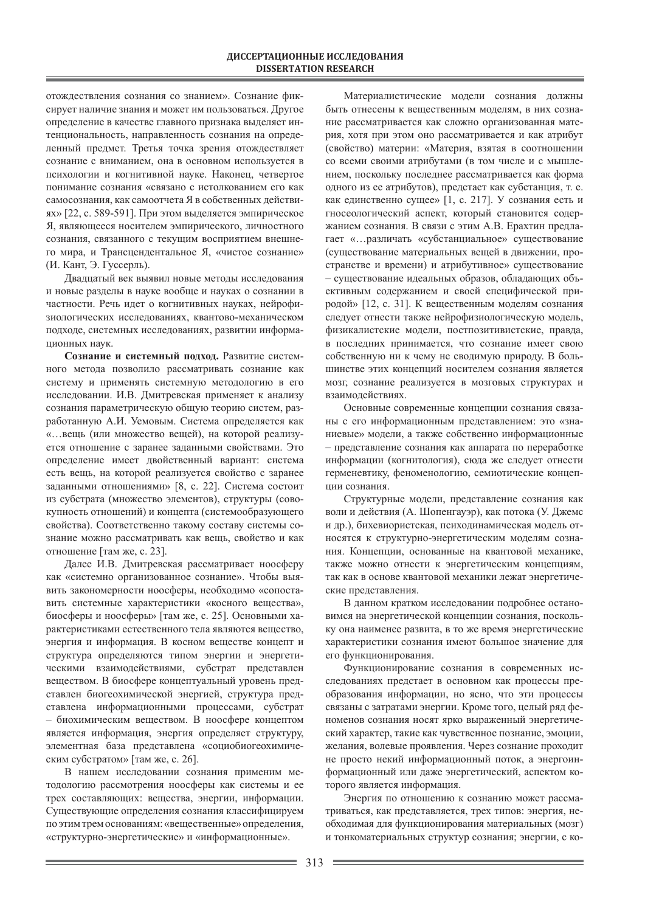отождествления сознания со знанием». Сознание фиксирует наличие знания и может им пользоваться. Другое определение в качестве главного признака выделяет интенциональность, направленность сознания на определенный предмет. Третья точка зрения отождествляет сознание с вниманием, она в основном используется в психологии и когнитивной науке. Наконец, четвертое понимание сознания «связано с истолкованием его как самосознания, как самоотчета Я в собственных действиях» [22, с. 589-591]. При этом выделяется эмпирическое Я, являющееся носителем эмпирического, личностного сознания, связанного с текущим восприятием внешнего мира, и Трансцендентальное Я, «чистое сознание» (И. Кант, Э. Гуссерль).

Двадцатый век выявил новые методы исследования и новые разделы в науке вообще и науках о сознании в частности. Речь идет о когнитивных науках, нейрофизиологических исследованиях, квантово-механическом подходе, системных исследованиях, развитии информационных наук.

Сознание и системный подход. Развитие системного метода позволило рассматривать сознание как систему и применять системную методологию в его исследовании. И.В. Дмитревская применяет к анализу сознания параметрическую общую теорию систем, разработанную А.И. Уемовым. Система определяется как «...вещь (или множество вещей), на которой реализуется отношение с заранее заданными свойствами. Это определение имеет двойственный вариант: система есть вещь, на которой реализуется свойство с заранее заданными отношениями» [8, с. 22]. Система состоит из субстрата (множество элементов), структуры (совокупность отношений) и концепта (системообразующего свойства). Соответственно такому составу системы сознание можно рассматривать как вещь, свойство и как отношение [там же, с. 23].

Далее И.В. Дмитревская рассматривает ноосферу как «системно организованное сознание». Чтобы выявить закономерности ноосферы, необходимо «сопоставить системные характеристики «косного вещества», биосферы и ноосферы» [там же, с. 25]. Основными характеристиками естественного тела являются вещество, энергия и информация. В косном веществе концепт и структура определяются типом энергии и энергетическими взаимодействиями, субстрат представлен веществом. В биосфере концептуальный уровень представлен биогеохимической энергией, структура представлена информационными процессами, субстрат – биохимическим веществом. В ноосфере концептом является информация, энергия определяет структуру, элементная база представлена «социобиогеохимическим субстратом» [там же, с. 26].

В нашем исследовании сознания применим методологию рассмотрения ноосферы как системы и ее трех составляющих: вещества, энергии, информации. Существующие определения сознания классифицируем по этим трем основаниям: «вещественные» определения, «структурно-энергетические» и «информационные».

Материалистические модели сознания должны быть отнесены к вещественным моделям, в них сознание рассматривается как сложно организованная материя, хотя при этом оно рассматривается и как атрибут (свойство) материи: «Материя, взятая в соотношении со всеми своими атрибутами (в том числе и с мышлением, поскольку последнее рассматривается как форма одного из ее атрибутов), предстает как субстанция, т. е. как единственно сущее» [1, с. 217]. У сознания есть и гносеологический аспект, который становится содержанием сознания. В связи с этим А.В. Ерахтин предлагает «...различать «субстанциальное» существование (существование материальных вещей в движении, пространстве и времени) и атрибутивное» существование - существование идеальных образов, обладающих объективным содержанием и своей специфической природой» [12, с. 31]. К вещественным моделям сознания следует отнести также нейрофизиологическую модель, физикалистские модели, постпозитивистские, правда, в последних принимается, что сознание имеет свою собственную ни к чему не сводимую природу. В большинстве этих концепций носителем сознания является мозг, сознание реализуется в мозговых структурах и взаимодействиях.

Основные современные концепции сознания связаны с его информационным представлением: это «знаниевые» модели, а также собственно информационные – представление сознания как аппарата по переработке информации (когнитология), сюда же следует отнести герменевтику, феноменологию, семиотические концепции сознания.

Структурные модели, представление сознания как воли и действия (А. Шопенгауэр), как потока (У. Джемс и др.), бихевиористская, психодинамическая модель относятся к структурно-энергетическим моделям сознания. Концепции, основанные на квантовой механике, также можно отнести к энергетическим концепциям, так как в основе квантовой механики лежат энергетические представления.

В данном кратком исследовании подробнее остановимся на энергетической концепции сознания, поскольку она наименее развита, в то же время энергетические характеристики сознания имеют большое значение для его функционирования.

Функционирование сознания в современных исследованиях предстает в основном как процессы преобразования информации, но ясно, что эти процессы связаны с затратами энергии. Кроме того, целый ряд феноменов сознания носят ярко выраженный энергетический характер, такие как чувственное познание, эмоции, желания, волевые проявления. Через сознание проходит не просто некий информационный поток, а энергоинформационный или даже энергетический, аспектом которого является информация.

Энергия по отношению к сознанию может рассматриваться, как представляется, трех типов: энергия, необходимая для функционирования материальных (мозг) и тонкоматериальных структур сознания; энергии, с ко-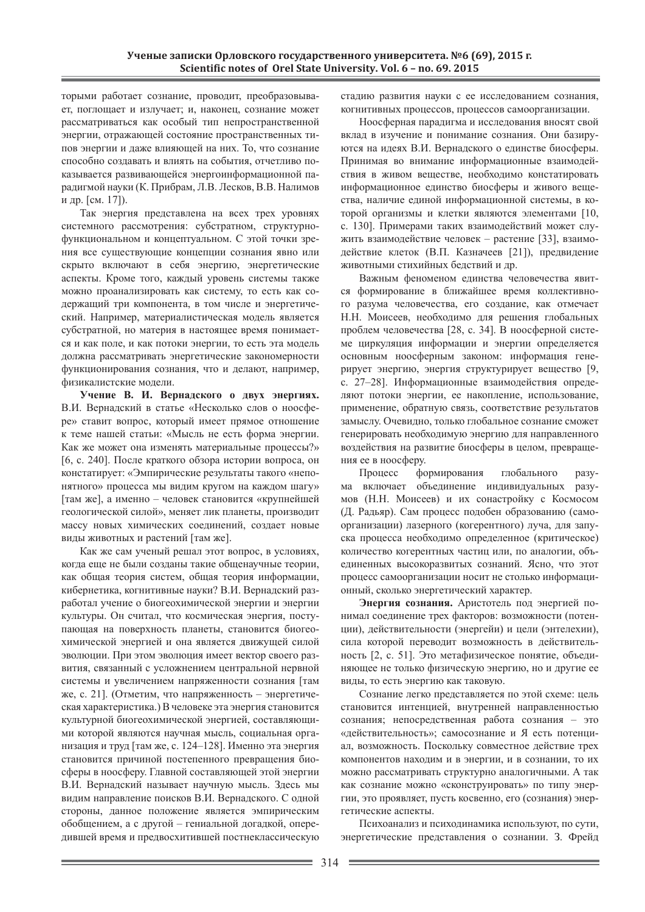торыми работает сознание, проводит, преобразовывает, поглощает и излучает; и, наконец, сознание может рассматриваться как особый тип непространственной энергии, отражающей состояние пространственных типов энергии и даже влияющей на них. То, что сознание способно создавать и влиять на события, отчетливо показывается развивающейся энергоинформационной парадигмой науки (К. Прибрам, Л.В. Лесков, В.В. Налимов и др. [см. 17]).

Так энергия представлена на всех трех уровнях системного рассмотрения: субстратном, структурнофункциональном и концептуальном. С этой точки зрения все существующие концепции сознания явно или скрыто включают в себя энергию, энергетические аспекты. Кроме того, каждый уровень системы также можно проанализировать как систему, то есть как содержащий три компонента, в том числе и энергетический. Например, материалистическая модель является субстратной, но материя в настоящее время понимается и как поле, и как потоки энергии, то есть эта модель должна рассматривать энергетические закономерности функционирования сознания, что и делают, например, физикалистские модели.

Учение В. И. Вернадского о двух энергиях. В.И. Вернадский в статье «Несколько слов о ноосфере» ставит вопрос, который имеет прямое отношение к теме нашей статьи: «Мысль не есть форма энергии. Как же может она изменять материальные процессы?» [6, с. 240]. После краткого обзора истории вопроса, он констатирует: «Эмпирические результаты такого «непонятного» процесса мы видим кругом на каждом шагу» [там же], а именно – человек становится «крупнейшей геологической силой», меняет лик планеты, производит массу новых химических соединений, создает новые виды животных и растений [там же].

Как же сам ученый решал этот вопрос, в условиях, когда еще не были созданы такие общенаучные теории, как общая теория систем, общая теория информации, кибернетика, когнитивные науки? В.И. Вернадский разработал учение о биогеохимической энергии и энергии культуры. Он считал, что космическая энергия, поступающая на поверхность планеты, становится биогеохимической энергией и она является движущей силой эволюции. При этом эволюция имеет вектор своего развития, связанный с усложнением центральной нервной системы и увеличением напряженности сознания [там же, с. 21]. (Отметим, что напряженность – энергетическая характеристика.) В человеке эта энергия становится культурной биогеохимической энергией, составляющими которой являются научная мысль, социальная организация и труд [там же, с. 124–128]. Именно эта энергия становится причиной постепенного превращения биосферы в ноосферу. Главной составляющей этой энергии В.И. Вернадский называет научную мысль. Здесь мы видим направление поисков В.И. Вернадского. С одной стороны, данное положение является эмпирическим обобщением, а с другой – гениальной догадкой, опередившей время и предвосхитившей постнеклассическую стадию развития науки с ее исследованием сознания, когнитивных процессов, процессов самоорганизации.

Ноосферная парадигма и исследования вносят свой вклад в изучение и понимание сознания. Они базируются на идеях В.И. Вернадского о единстве биосферы. Принимая во внимание информационные взаимодействия в живом веществе, необходимо констатировать информационное единство биосферы и живого вещества, наличие единой информационной системы, в которой организмы и клетки являются элементами [10, с. 130]. Примерами таких взаимодействий может служить взаимодействие человек – растение [33], взаимодействие клеток (В.П. Казначеев [21]), предвидение животными стихийных бедствий и др.

Важным феноменом единства человечества явится формирование в ближайшее время коллективного разума человечества, его создание, как отмечает Н.Н. Моисеев, необходимо для решения глобальных проблем человечества [28, с. 34]. В ноосферной системе циркуляция информации и энергии определяется основным ноосферным законом: информация генерирует энергию, энергия структурирует вещество [9, с. 27–28]. Информационные взаимодействия определяют потоки энергии, ее накопление, использование, применение, обратную связь, соответствие результатов замыслу. Очевидно, только глобальное сознание сможет генерировать необходимую энергию для направленного воздействия на развитие биосферы в целом, превращения ее в ноосферу.

Процесс формирования глобального разума включает объединение индивидуальных разумов (Н.Н. Моисеев) и их сонастройку с Космосом (Д. Радьяр). Сам процесс подобен образованию (самоорганизации) лазерного (когерентного) луча, для запуска процесса необходимо определенное (критическое) количество когерентных частиц или, по аналогии, объединенных высокоразвитых сознаний. Ясно, что этот процесс самоорганизации носит не столько информационный, сколько энергетический характер.

Энергия сознания. Аристотель под энергией понимал соединение трех факторов: возможности (потенции), действительности (энергейи) и цели (энтелехии), сила которой переводит возможность в действительность [2, с. 51]. Это метафизическое понятие, объединяющее не только физическую энергию, но и другие ее виды, то есть энергию как таковую.

Сознание легко представляется по этой схеме: цель становится интенцией, внутренней направленностью сознания; непосредственная работа сознания – это «действительность»; самосознание и Я есть потенциал, возможность. Поскольку совместное действие трех компонентов находим и в энергии, и в сознании, то их можно рассматривать структурно аналогичными. А так как сознание можно «сконструировать» по типу энергии, это проявляет, пусть косвенно, его (сознания) энергетические аспекты.

Психоанализ и психодинамика используют, по сути, энергетические представления о сознании. З. Фрейд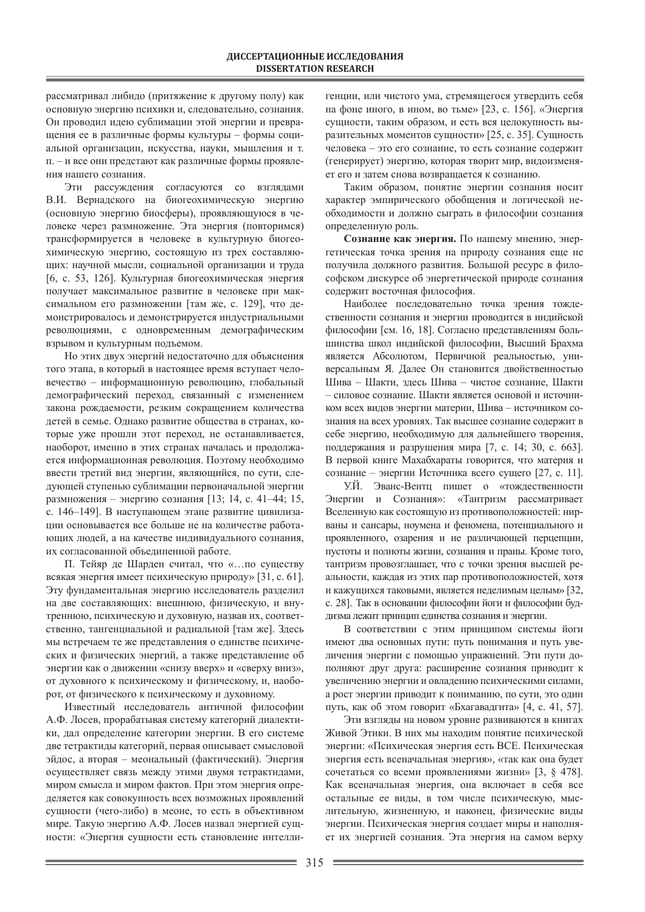рассматривал либидо (притяжение к другому полу) как основную энергию психики и, следовательно, сознания. Он проводил идею сублимации этой энергии и превращения ее в различные формы культуры - формы социальной организации, искусства, науки, мышления и т. п. – и все они предстают как различные формы проявления нашего сознания.

Эти рассуждения согласуются со взглядами В.И. Вернадского на биогеохимическую энергию (основную энергию биосферы), проявляющуюся в человеке через размножение. Эта энергия (повторимся) трансформируется в человеке в культурную биогеохимическую энергию, состоящую из трех составляющих: научной мысли, социальной организации и труда [6, с. 53, 126]. Культурная биогеохимическая энергия получает максимальное развитие в человеке при максимальном его размножении [там же, с. 129], что демонстрировалось и демонстрируется индустриальными революциями, с одновременным демографическим взрывом и культурным подъемом.

Но этих двух энергий недостаточно для объяснения того этапа, в который в настоящее время вступает человечество – информационную революцию, глобальный демографический переход, связанный с изменением закона рождаемости, резким сокращением количества детей в семье. Однако развитие общества в странах, которые уже прошли этот переход, не останавливается, наоборот, именно в этих странах началась и продолжается информационная революция. Поэтому необходимо ввести третий вид энергии, являющийся, по сути, следующей ступенью сублимации первоначальной энергии размножения – энергию сознания [13; 14, с. 41–44; 15, с. 146–149]. В наступающем этапе развитие цивилизации основывается все больше не на количестве работающих людей, а на качестве индивидуального сознания, их согласованной объединенной работе.

П. Тейяр де Шарден считал, что «... по существу всякая энергия имеет психическую природу» [31, с. 61]. Эту фундаментальная энергию исследователь разделил на две составляющих: внешнюю, физическую, и внутреннюю, психическую и духовную, назвав их, соответственно, тангенциальной и радиальной [там же]. Здесь мы встречаем те же представления о единстве психических и физических энергий, а также представление об энергии как о движении «снизу вверх» и «сверху вниз», от духовного к психическому и физическому, и, наоборот, от физического к психическому и духовному.

Известный исследователь античной философии А.Ф. Лосев, прорабатывая систему категорий диалектики, дал определение категории энергии. В его системе две тетрактиды категорий, первая описывает смысловой эйдос, а вторая – меональный (фактический). Энергия осуществляет связь между этими двумя тетрактидами, миром смысла и миром фактов. При этом энергия определяется как совокупность всех возможных проявлений сущности (чего-либо) в меоне, то есть в объективном мире. Такую энергию А.Ф. Лосев назвал энергией сущности: «Энергия сущности есть становление интелли-

генции, или чистого ума, стремящегося утвердить себя на фоне иного, в ином, во тьме» [23, с. 156]. «Энергия сущности, таким образом, и есть вся целокупность выразительных моментов сущности» [25, с. 35]. Сущность человека – это его сознание, то есть сознание содержит (генерирует) энергию, которая творит мир, видоизменяет его и затем снова возвращается к сознанию.

Таким образом, понятие энергии сознания носит характер эмпирического обобщения и логической необходимости и должно сыграть в философии сознания определенную роль.

Сознание как энергия. По нашему мнению, энергетическая точка зрения на природу сознания еще не получила должного развития. Большой ресурс в философском дискурсе об энергетической природе сознания содержит восточная философия.

Наиболее последовательно точка зрения тождественности сознания и энергии проводится в индийской философии [см. 16, 18]. Согласно представлениям большинства школ индийской философии, Высший Брахма является Абсолютом, Первичной реальностью, универсальным Я. Далее Он становится двойственностью Шива – Шакти, здесь Шива – чистое сознание, Шакти – силовое сознание. Шакти является основой и источником всех видов энергии материи, Шива – источником сознания на всех уровнях. Так высшее сознание содержит в себе энергию, необходимую для дальнейшего творения, поддержания и разрушения мира [7, с. 14; 30, с. 663]. В первой книге Махабхараты говорится, что материя и сознание – энергии Источника всего сущего [27, с. 11].

У.Й. Эванс-Вентц пишет о «тождественности Энергии и Сознания»: «Тантризм рассматривает Вселенную как состоящую из противоположностей: нирваны и сансары, ноумена и феномена, потенциального и проявленного, озарения и не различающей перцепции, пустоты и полноты жизни, сознания и праны. Кроме того, тантризм провозглашает, что с точки зрения высшей реальности, каждая из этих пар противоположностей, хотя и кажущихся таковыми, является неделимым целым» [32, с. 28]. Так в основании философии йоги и философии буддизма лежит принцип единства сознания и энергии.

В соответствии с этим принципом системы йоги имеют два основных пути: путь понимания и путь увеличения энергии с помощью упражнений. Эти пути дополняют друг друга: расширение сознания приводит к увеличению энергии и овладению психическими силами, а рост энергии приводит к пониманию, по сути, это один путь, как об этом говорит «Бхагавадгита» [4, с. 41, 57].

Эти взгляды на новом уровне развиваются в книгах Живой Этики. В них мы находим понятие психической энергии: «Психическая энергия есть ВСЕ. Психическая энергия есть всеначальная энергия», «так как она будет сочетаться со всеми проявлениями жизни» [3, § 478]. Как всеначальная энергия, она включает в себя все остальные ее виды, в том числе психическую, мыслительную, жизненную, и наконец, физические виды энергии. Психическая энергия создает миры и наполняет их энергией сознания. Эта энергия на самом верху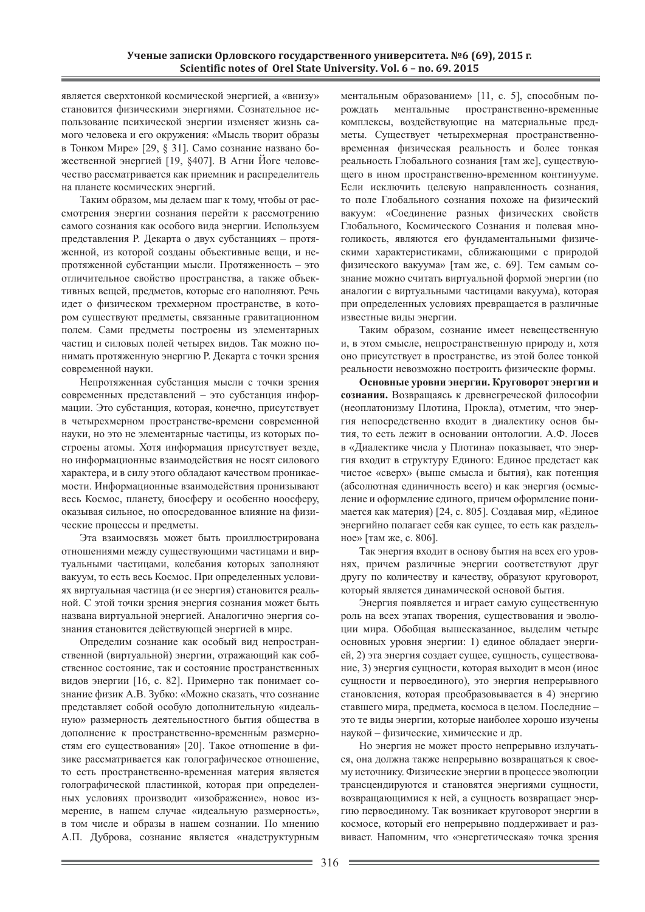является сверхтонкой космической энергией, а «внизу» становится физическими энергиями. Сознательное использование психической энергии изменяет жизнь самого человека и его окружения: «Мысль творит образы в Тонком Мире» [29, § 31]. Само сознание названо божественной энергией [19, §407]. В Агни Йоге человечество рассматривается как приемник и распределитель на планете космических энергий.

Таким образом, мы делаем шаг к тому, чтобы от рассмотрения энергии сознания перейти к рассмотрению самого сознания как особого вида энергии. Используем представления Р. Декарта о двух субстанциях – протяженной, из которой созданы объективные вещи, и непротяженной субстанции мысли. Протяженность - это отличительное свойство пространства, а также объективных вещей, предметов, которые его наполняют. Речь идет о физическом трехмерном пространстве, в котором существуют предметы, связанные гравитационном полем. Сами предметы построены из элементарных частиц и силовых полей четырех видов. Так можно понимать протяженную энергию Р. Декарта с точки зрения современной науки.

Непротяженная субстанция мысли с точки зрения современных представлений – это субстанция информации. Это субстанция, которая, конечно, присутствует в четырехмерном пространстве-времени современной науки, но это не элементарные частицы, из которых построены атомы. Хотя информация присутствует везде, но информационные взаимодействия не носят силового характера, и в силу этого обладают качеством проникаемости. Информационные взаимодействия пронизывают весь Космос, планету, биосферу и особенно ноосферу, оказывая сильное, но опосредованное влияние на физические процессы и предметы.

Эта взаимосвязь может быть проиллюстрирована отношениями между существующими частицами и виртуальными частицами, колебания которых заполняют вакуум, то есть весь Космос. При определенных условиях виртуальная частица (и ее энергия) становится реальной. С этой точки зрения энергия сознания может быть названа виртуальной энергией. Аналогично энергия сознания становится действующей энергией в мире.

Определим сознание как особый вид непространственной (виртуальной) энергии, отражающий как собственное состояние, так и состояние пространственных видов энергии [16, с. 82]. Примерно так понимает сознание физик А.В. Зубко: «Можно сказать, что сознание представляет собой особую дополнительную «идеальную» размерность деятельностного бытия общества в дополнение к пространственно-временным размерностям его существования» [20]. Такое отношение в физике рассматривается как голографическое отношение, то есть пространственно-временная материя является голографической пластинкой, которая при определенных условиях производит «изображение», новое измерение, в нашем случае «идеальную размерность», в том числе и образы в нашем сознании. По мнению А.П. Дуброва, сознание является «надструктурным ментальным образованием» [11, с. 5], способным порождать ментальные пространственно-временные комплексы, воздействующие на материальные предметы. Существует четырехмерная пространственновременная физическая реальность и более тонкая реальность Глобального сознания [там же], существующего в ином пространственно-временном континууме. Если исключить целевую направленность сознания, то поле Глобального сознания похоже на физический вакуум: «Соединение разных физических свойств Глобального, Космического Сознания и полевая многоликость, являются его фундаментальными физическими характеристиками, сближающими с природой физического вакуума» [там же, с. 69]. Тем самым сознание можно считать виртуальной формой энергии (по аналогии с виртуальными частицами вакуума), которая при определенных условиях превращается в различные известные виды энергии.

Таким образом, сознание имеет невещественную и, в этом смысле, непространственную природу и, хотя оно присутствует в пространстве, из этой более тонкой реальности невозможно построить физические формы.

Основные уровни энергии. Круговорот энергии и сознания. Возвращаясь к древнегреческой философии (неоплатонизму Плотина, Прокла), отметим, что энергия непосредственно входит в диалектику основ бытия, то есть лежит в основании онтологии. А.Ф. Лосев в «Диалектике числа у Плотина» показывает, что энергия входит в структуру Единого: Единое предстает как чистое «сверх» (выше смысла и бытия), как потенция (абсолютная единичность всего) и как энергия (осмысление и оформление единого, причем оформление понимается как материя) [24, с. 805]. Создавая мир, «Единое энергийно полагает себя как сущее, то есть как раздельное» [там же, с. 806].

Так энергия входит в основу бытия на всех его уровнях, причем различные энергии соответствуют друг другу по количеству и качеству, образуют круговорот, который является динамической основой бытия.

Энергия появляется и играет самую существенную роль на всех этапах творения, существования и эволюции мира. Обобщая вышесказанное, выделим четыре основных уровня энергии: 1) единое обладает энергией, 2) эта энергия создает сущее, сущность, существование, 3) энергия сущности, которая выходит в меон (иное сущности и первоединого), это энергия непрерывного становления, которая преобразовывается в 4) энергию ставшего мира, предмета, космоса в целом. Последние – это те виды энергии, которые наиболее хорошо изучены наукой – физические, химические и др.

Но энергия не может просто непрерывно излучаться, она должна также непрерывно возвращаться к своему источнику. Физические энергии в процессе эволюции трансцендируются и становятся энергиями сущности, возвращающимися к ней, а сущность возвращает энергию первоединому. Так возникает круговорот энергии в космосе, который его непрерывно поддерживает и развивает. Напомним, что «энергетическая» точка зрения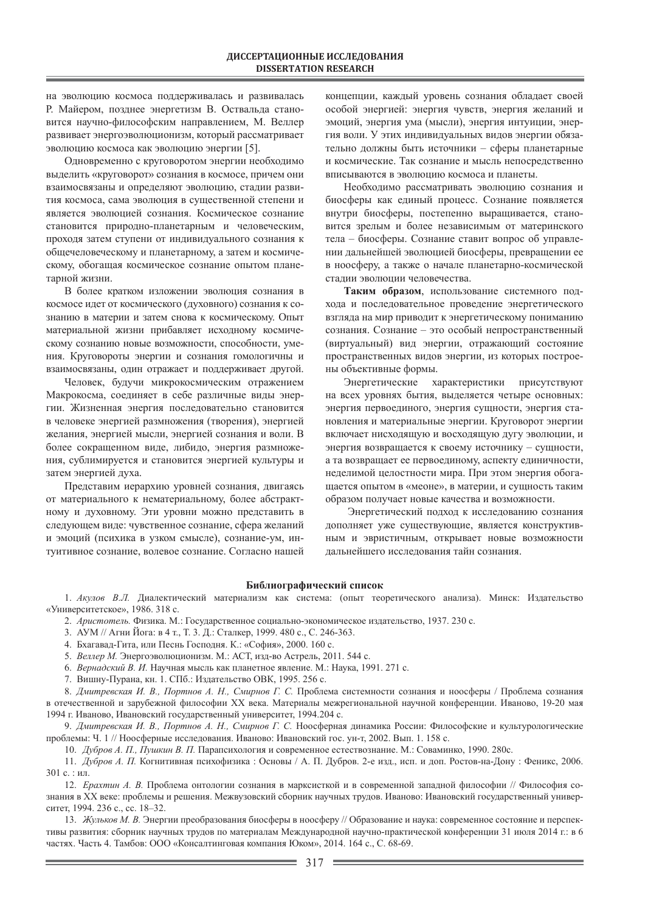на эволюцию космоса поддерживалась и развивалась Р. Майером, позднее энергетизм В. Оствальда становится научно-философским направлением, М. Веллер развивает энергоэволюционизм, который рассматривает эволюцию космоса как эволюцию энергии [5].

Одновременно с круговоротом энергии необходимо выделить «круговорот» сознания в космосе, причем они взаимосвязаны и определяют эволюцию, стадии развития космоса, сама эволюция в существенной степени и является эволюцией сознания. Космическое сознание становится природно-планетарным и человеческим, проходя затем ступени от индивидуального сознания к общечеловеческому и планетарному, а затем и космическому, обогащая космическое сознание опытом планетарной жизни.

В более кратком изложении эволюция сознания в космосе идет от космического (духовного) сознания к сознанию в материи и затем снова к космическому. Опыт материальной жизни прибавляет исходному космическому сознанию новые возможности, способности, умения. Круговороты энергии и сознания гомологичны и взаимосвязаны, один отражает и поддерживает другой.

Человек, будучи микрокосмическим отражением Макрокосма, соединяет в себе различные виды энергии. Жизненная энергия последовательно становится в человеке энергией размножения (творения), энергией желания, энергией мысли, энергией сознания и воли. В более сокращенном виде, либидо, энергия размножения, сублимируется и становится энергией культуры и затем энергией духа.

Представим иерархию уровней сознания, двигаясь от материального к нематериальному, более абстрактному и духовному. Эти уровни можно представить в следующем виде: чувственное сознание, сфера желаний и эмоций (психика в узком смысле), сознание-ум, интуитивное сознание, волевое сознание. Согласно нашей

концепции, каждый уровень сознания обладает своей особой энергией: энергия чувств, энергия желаний и эмоций, энергия ума (мысли), энергия интуиции, энергия воли. У этих индивидуальных видов энергии обязательно должны быть источники – сферы планетарные и космические. Так сознание и мысль непосредственно вписываются в эволюцию космоса и планеты.

Необходимо рассматривать эволюцию сознания и биосферы как единый процесс. Сознание появляется внутри биосферы, постепенно выращивается, становится зрелым и более независимым от материнского тела – биосферы. Сознание ставит вопрос об управлении дальнейшей эволюцией биосферы, превращении ее в ноосферу, а также о начале планетарно-космической стадии эволюции человечества.

Таким образом, использование системного подхода и последовательное проведение энергетического взгляда на мир приводит к энергетическому пониманию сознания. Сознание – это особый непространственный (виртуальный) вид энергии, отражающий состояние пространственных видов энергии, из которых построены объективные формы.

Энергетические характеристики присутствуют на всех уровнях бытия, выделяется четыре основных: энергия первоединого, энергия сущности, энергия становления и материальные энергии. Круговорот энергии включает нисходящую и восходящую дугу эволюции, и энергия возвращается к своему источнику – сущности, а та возвращает ее первоединому, аспекту единичности, неделимой целостности мира. При этом энергия обогащается опытом в «меоне», в материи, и сущность таким образом получает новые качества и возможности.

Энергетический подход к исследованию сознания дополняет уже существующие, является конструктивным и эвристичным, открывает новые возможности дальнейшего исследования тайн сознания.

### **Библиографический список**

1. Акулов В.Л. Диалектический материализм как система: (опыт теоретического анализа). Минск: Издательство «Университетское», 1986. 318 с.

2. *Аристотель*. Физика. М.: Государственное социально-экономическое издательство, 1937. 230 с.

- 3. АУМ // Агни Йога: в 4 т., Т. 3. Д.: Сталкер, 1999. 480 с., С. 246-363.
- 4. Бхагавад-Гита, или Песнь Господня. К.: «София», 2000. 160 с.
- 5. Веллер М. Энергоэволюционизм. М.: АСТ, изд-во Астрель, 2011. 544 с.
- 6. Вернадский В. И. Научная мысль как планетное явление. М.: Наука, 1991. 271 с.

7. Вишну-Пурана, кн. 1. СПб.: Издательство ОВК, 1995. 256 с.

8. Дмитревская И. В., Портнов А. Н., Смирнов Г. С. Проблема системности сознания и ноосферы / Проблема сознания в отечественной и зарубежной философии XX века. Материалы межрегиональной научной конференции. Иваново, 19-20 мая 1994 г. Иваново, Ивановский государственный университет, 1994.204 с.

9. Дмитревская И. В., Портнов А. Н., Смирнов Г. С. Ноосферная динамика России: Философские и культурологические проблемы: Ч. 1 // Ноосферные исследования. Иваново: Ивановский гос. ун-т, 2002. Вып. 1. 158 с.

10. Дубров А. П., Пушкин В. П. Парапсихология и современное естествознание. М.: Соваминко, 1990. 280с.

11. Дубров А. П. Когнитивная психофизика : Основы / А. П. Дубров. 2-е изд., исп. и доп. Ростов-на-Дону : Феникс, 2006. 301 с. : ил.

12. *Ерахтин А. В.* Проблема онтологии сознания в марксисткой и в современной западной философии // Философия сознания в XX веке: проблемы и решения. Межвузовский сборник научных трудов. Иваново: Ивановский государственный университет, 1994. 236 с., сс. 18–32.

13. Жульков М. В. Энергии преобразования биосферы в ноосферу // Образование и наука: современное состояние и перспективы развития: сборник научных трудов по материалам Международной научно-практической конференции 31 июля 2014 г.: в 6 частях. Часть 4. Тамбов: ООО «Консалтинговая компания Юком», 2014. 164 с., С. 68-69.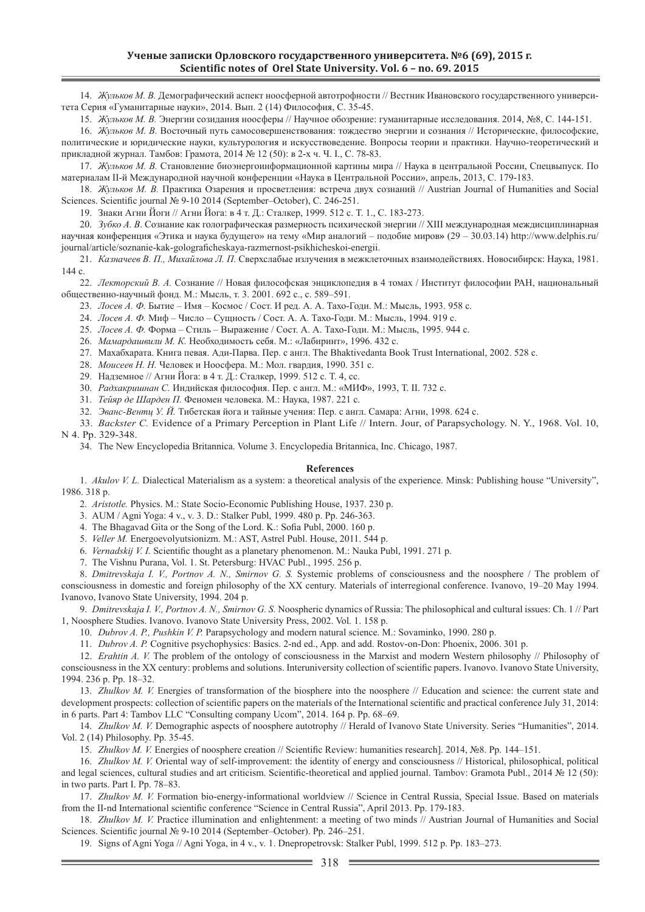14. Жульков М. В. Демографический аспект ноосферной автотрофности // Вестник Ивановского государственного университета Серия «Гуманитарные науки», 2014. Вып. 2 (14) Философия, С. 35-45.

15. Жульков М. В. Энергии созидания ноосферы // Научное обозрение: гуманитарные исследования. 2014, №8, С. 144-151.

16. Жульков М. В. Восточный путь самосовершенствования: тождество энергии и сознания // Исторические, философские, политические и юридические науки, культурология и искусствоведение. Вопросы теории и практики. Научно-теоретический и прикладной журнал. Тамбов: Грамота, 2014 № 12 (50): в 2-х ч. Ч. І., С. 78-83.

17. Жульков М. В. Становление биоэнергоинформационной картины мира // Наука в центральной России, Спецвыпуск. По материалам II-й Международной научной конференции «Наука в Центральной России», апрель, 2013, С. 179-183.

18. Жульков М. В. Практика Озарения и просветления: встреча двух сознаний // Austrian Journal of Humanities and Social Sciences. Scientific journal № 9-10 2014 (September–October), C. 246-251.

19. Знаки Агни Йоги // Агни Йога: в 4 т. Д.: Сталкер, 1999. 512 с. Т. 1., С. 183-273.

20. Зубко А. В. Сознание как голографическая размерность психической энергии // XIII международная междисциплинарная научная конференция «Этика и наука будущего» на тему «Мир аналогий – подобие миров» (29 – 30.03.14) http://www.delphis.ru/ journal/article/soznanie-kak-golograficheskaya-razmernost-psikhicheskoi-energii.

21. Казначеев В. П., Михайлова Л. П. Сверхслабые излучения в межклеточных взаимодействиях. Новосибирск: Наука, 1981. 144 c.

22. *Лекторский В. А.* Сознание // Новая философская энциклопедия в 4 томах / Институт философии РАН, национальный общественно-научный фонд. М.: Мысль, т. 3. 2001. 692 с., с. 589-591.

23. *Лосев А. Ф.* Бытие – Имя – Космос / Сост. И ред. А. А. Тахо-Годи. М.: Мысль, 1993. 958 с.

24. *Лосев А. Ф.* Миф – Число – Сущность / Сост. А. А. Тахо-Годи. М.: Мысль, 1994. 919 с.

25. *Лосев А.* Ф. Форма – Стиль – Выражение / Сост. А. А. Тахо-Годи. М.: Мысль, 1995. 944 с.

26. *Мамардашвили М. К.* Необходимость себя. М.: «Лабиринт», 1996. 432 с.

27. Махабхарата. Книга певая. Ади-Парва. Пер. с англ. The Bhaktivedanta Book Trust International, 2002. 528 с.

28. *Моисеев Н. Н.* Человек и Ноосфера. М.: Мол. гвардия, 1990. 351 с.

29. Надземное // Агни Йога: в 4 т. Д.: Сталкер, 1999. 512 с. Т. 4, сс.

30. Радхакришнан С. Индийская философия. Пер. с англ. М.: «МИФ», 1993, Т. II. 732 с.

31. *Тейяр ов Шарден П*. Феномен человека. М.: Наука, 1987. 221 с.

32. Эванс-Вентц У. Й. Тибетская йога и тайные учения: Пер. с англ. Самара: Агни, 1998. 624 с.

33. *Backster C.* Evidence of a Primary Perception in Plant Life // Intern. Jour, of Parapsychology. N. Y., 1968. Vol. 10, N 4. Pp. 329-348.

34. The New Encyclopedia Britannica. Volume 3. Encyclopedia Britannica, Inc. Chicago, 1987.

#### **References**

1. *Akulov V. L.* Dialectical Materialism as a system: a theoretical analysis of the experience. Minsk: Publishing house "University", 1986. 318 p.

2. *Aristotle.* Physics. M.: State Socio-Economic Publishing House, 1937. 230 p.

3. AUM / Agni Yoga: 4 v., v. 3. D.: Stalker Publ, 1999. 480 p. Pp. 246-363.

4. The Bhagavad Gita or the Song of the Lord. K.: Sofia Publ, 2000. 160 p.

5. *Veller M.* Energoevolyutsionizm. M.: AST, Astrel Publ. House, 2011. 544 p.

6. *Vernadskij V. I.* Scientific thought as a planetary phenomenon. M.: Nauka Publ, 1991. 271 p.

7. The Vishnu Purana, Vol. 1. St. Petersburg: HVAC Publ., 1995. 256 p.

8. *Dmitrevskaja I. V., Portnov A. N., Smirnov G. S.* Systemic problems of consciousness and the noosphere / The problem of consciousness in domestic and foreign philosophy of the XX century. Materials of interregional conference. Ivanovo, 19–20 May 1994. Ivanovo, Ivanovo State University, 1994. 204 p.

9. *Dmitrevskaja I. V., Portnov A. N., Smirnov G. S.* Noospheric dynamics of Russia: The philosophical and cultural issues: Ch. 1 // Part 1, Noosphere Studies. Ivanovo. Ivanovo State University Press, 2002. Vol. 1. 158 p.

10. *Dubrov A. P., Pushkin V. P.* Parapsychology and modern natural science. M.: Sovaminko, 1990. 280 p.

11. *Dubrov A. P.* Cognitive psychophysics: Basics. 2-nd ed., App. and add. Rostov-on-Don: Phoenix, 2006. 301 p.

12. *Erahtin A. V.* The problem of the ontology of consciousness in the Marxist and modern Western philosophy // Philosophy of consciousness in the XX century: problems and solutions. Interuniversity collection of scientific papers. Ivanovo. Ivanovo State University, 1994. 236 p. Pp. 18–32.

13. *Zhulkov M. V.* Energies of transformation of the biosphere into the noosphere // Education and science: the current state and development prospects: collection of scientific papers on the materials of the International scientific and practical conference July 31, 2014: in 6 parts. Part 4: Tambov LLC "Consulting company Ucom", 2014. 164 p. Pp. 68–69.

14. *Zhulkov M. V.* Demographic aspects of noosphere autotrophy // Herald of Ivanovo State University. Series "Humanities", 2014. Vol. 2 (14) Philosophy. Pp. 35-45.

15. *Zhulkov M. V.* Energies of noosphere creation // Scientific Review: humanities research]. 2014, №8. Pp. 144–151.

16. *Zhulkov M. V.* Oriental way of self-improvement: the identity of energy and consciousness // Historical, philosophical, political and legal sciences, cultural studies and art criticism. Scientific-theoretical and applied journal. Tambov: Gramota Publ., 2014 № 12 (50): in two parts. Part I. Pp. 78–83.

17. *Zhulkov M. V.* Formation bio-energy-informational worldview // Science in Central Russia, Special Issue. Based on materials from the II-nd International scientific conference "Science in Central Russia", April 2013. Pp. 179-183.

18. *Zhulkov M. V.* Practice illumination and enlightenment: a meeting of two minds // Austrian Journal of Humanities and Social Sciences. Scientific journal № 9-10 2014 (September–October). Pp. 246–251.

19. Signs of Agni Yoga // Agni Yoga, in 4 v., v. 1. Dnepropetrovsk: Stalker Publ, 1999. 512 p. Pp. 183–273.